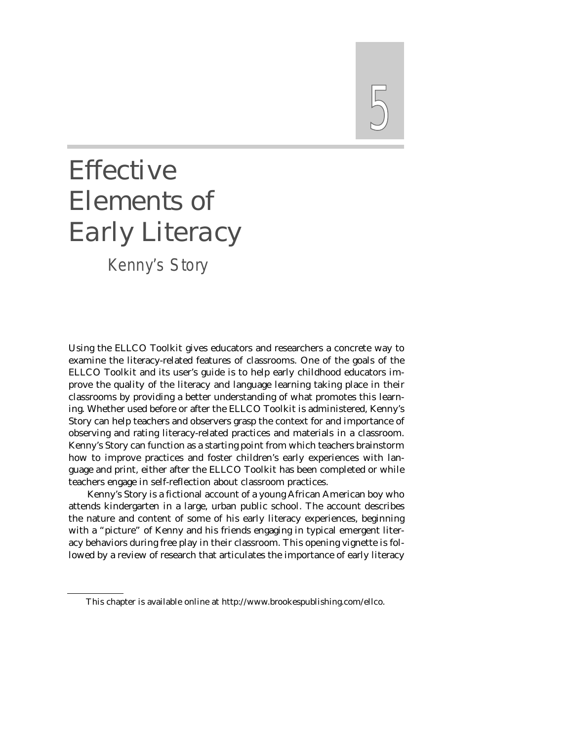# 5

# Effective Elements of Early Literacy

*Kenny's Story*

Using the ELLCO Toolkit gives educators and researchers a concrete way to examine the literacy-related features of classrooms. One of the goals of the ELLCO Toolkit and its user's guide is to help early childhood educators improve the quality of the literacy and language learning taking place in their classrooms by providing a better understanding of what promotes this learning. Whether used before or after the ELLCO Toolkit is administered, Kenny's Story can help teachers and observers grasp the context for and importance of observing and rating literacy-related practices and materials in a classroom. Kenny's Story can function as a starting point from which teachers brainstorm how to improve practices and foster children's early experiences with language and print, either after the ELLCO Toolkit has been completed or while teachers engage in self-reflection about classroom practices.

Kenny's Story is a fictional account of a young African American boy who attends kindergarten in a large, urban public school. The account describes the nature and content of some of his early literacy experiences, beginning with a "picture" of Kenny and his friends engaging in typical emergent literacy behaviors during free play in their classroom. This opening vignette is followed by a review of research that articulates the importance of early literacy

This chapter is available online at http://www.brookespublishing.com/ellco.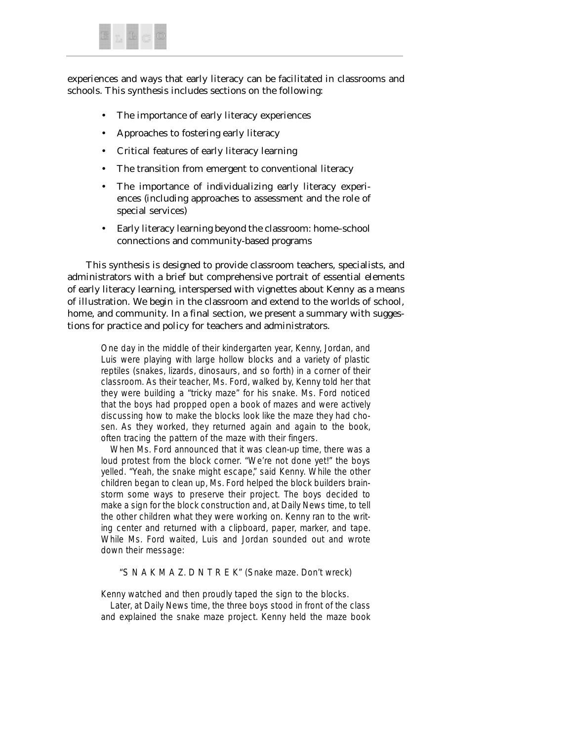

experiences and ways that early literacy can be facilitated in classrooms and schools. This synthesis includes sections on the following:

- The importance of early literacy experiences
- Approaches to fostering early literacy
- Critical features of early literacy learning
- The transition from emergent to conventional literacy
- The importance of individualizing early literacy experiences (including approaches to assessment and the role of special services)
- Early literacy learning beyond the classroom: home–school connections and community-based programs

This synthesis is designed to provide classroom teachers, specialists, and administrators with a brief but comprehensive portrait of essential elements of early literacy learning, interspersed with vignettes about Kenny as a means of illustration. We begin in the classroom and extend to the worlds of school, home, and community. In a final section, we present a summary with suggestions for practice and policy for teachers and administrators.

One day in the middle of their kindergarten year, Kenny, Jordan, and Luis were playing with large hollow blocks and a variety of plastic reptiles (snakes, lizards, dinosaurs, and so forth) in a corner of their classroom. As their teacher, Ms. Ford, walked by, Kenny told her that they were building a "tricky maze" for his snake. Ms. Ford noticed that the boys had propped open a book of mazes and were actively discussing how to make the blocks look like the maze they had chosen. As they worked, they returned again and again to the book, often tracing the pattern of the maze with their fingers.

When Ms. Ford announced that it was clean-up time, there was a loud protest from the block corner. "We're not done yet!" the boys yelled. "Yeah, the snake might escape," said Kenny. While the other children began to clean up, Ms. Ford helped the block builders brainstorm some ways to preserve their project. The boys decided to make a sign for the block construction and, at Daily News time, to tell the other children what they were working on. Kenny ran to the writing center and returned with a clipboard, paper, marker, and tape. While Ms. Ford waited, Luis and Jordan sounded out and wrote down their message:

"S N A K M A Z. D N T R E K" (Snake maze. Don't wreck)

Kenny watched and then proudly taped the sign to the blocks.

Later, at Daily News time, the three boys stood in front of the class and explained the snake maze project. Kenny held the maze book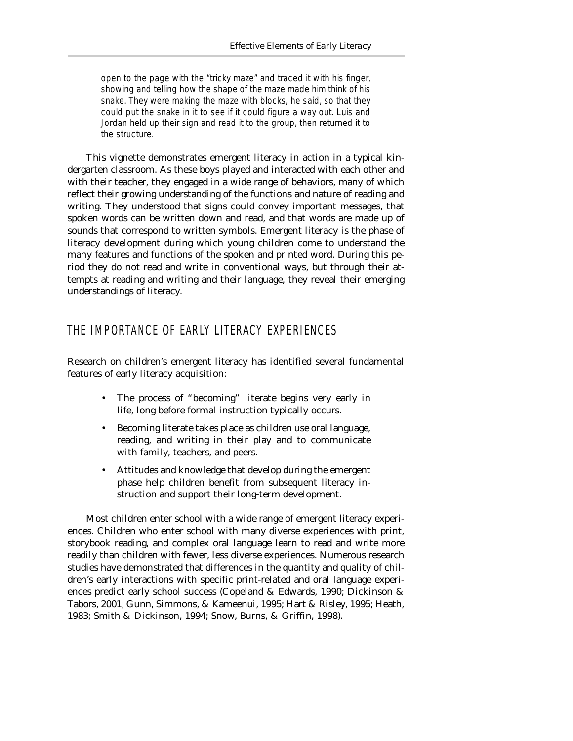open to the page with the "tricky maze" and traced it with his finger, showing and telling how the shape of the maze made him think of his snake. They were making the maze with blocks, he said, so that they could put the snake in it to see if it could figure a way out. Luis and Jordan held up their sign and read it to the group, then returned it to the structure.

This vignette demonstrates emergent literacy in action in a typical kindergarten classroom. As these boys played and interacted with each other and with their teacher, they engaged in a wide range of behaviors, many of which reflect their growing understanding of the functions and nature of reading and writing. They understood that signs could convey important messages, that spoken words can be written down and read, and that words are made up of sounds that correspond to written symbols. *Emergent literacy* is the phase of literacy development during which young children come to understand the many features and functions of the spoken and printed word. During this period they do not read and write in conventional ways, but through their attempts at reading and writing and their language, they reveal their emerging understandings of literacy.

#### THE IMPORTANCE OF EARLY LITERACY EXPERIENCES

Research on children's emergent literacy has identified several fundamental features of early literacy acquisition:

- The process of "becoming" literate begins very early in life, long before formal instruction typically occurs.
- Becoming literate takes place as children use oral language, reading, and writing in their play and to communicate with family, teachers, and peers.
- Attitudes and knowledge that develop during the emergent phase help children benefit from subsequent literacy instruction and support their long-term development.

Most children enter school with a wide range of emergent literacy experiences. Children who enter school with many diverse experiences with print, storybook reading, and complex oral language learn to read and write more readily than children with fewer, less diverse experiences. Numerous research studies have demonstrated that differences in the quantity and quality of children's early interactions with specific print-related and oral language experiences predict early school success (Copeland & Edwards, 1990; Dickinson & Tabors, 2001; Gunn, Simmons, & Kameenui, 1995; Hart & Risley, 1995; Heath, 1983; Smith & Dickinson, 1994; Snow, Burns, & Griffin, 1998).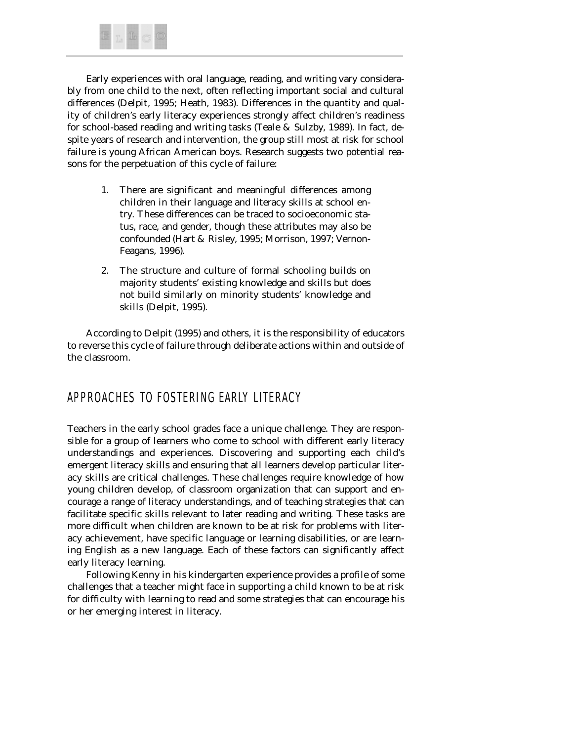

Early experiences with oral language, reading, and writing vary considerably from one child to the next, often reflecting important social and cultural differences (Delpit, 1995; Heath, 1983). Differences in the quantity and quality of children's early literacy experiences strongly affect children's readiness for school-based reading and writing tasks (Teale & Sulzby, 1989). In fact, despite years of research and intervention, the group still most at risk for school failure is young African American boys. Research suggests two potential reasons for the perpetuation of this cycle of failure:

- 1. There are significant and meaningful differences among children in their language and literacy skills at school entry. These differences can be traced to socioeconomic status, race, and gender, though these attributes may also be confounded (Hart & Risley, 1995; Morrison, 1997; Vernon-Feagans, 1996).
- 2. The structure and culture of formal schooling builds on majority students' existing knowledge and skills but does not build similarly on minority students' knowledge and skills (Delpit, 1995).

According to Delpit (1995) and others, it is the responsibility of educators to reverse this cycle of failure through deliberate actions within and outside of the classroom.

# APPROACHES TO FOSTERING EARLY LITERACY

Teachers in the early school grades face a unique challenge. They are responsible for a group of learners who come to school with different early literacy understandings and experiences. Discovering and supporting each child's emergent literacy skills and ensuring that all learners develop particular literacy skills are critical challenges. These challenges require knowledge of how young children develop, of classroom organization that can support and encourage a range of literacy understandings, and of teaching strategies that can facilitate specific skills relevant to later reading and writing. These tasks are more difficult when children are known to be at risk for problems with literacy achievement, have specific language or learning disabilities, or are learning English as a new language. Each of these factors can significantly affect early literacy learning.

Following Kenny in his kindergarten experience provides a profile of some challenges that a teacher might face in supporting a child known to be at risk for difficulty with learning to read and some strategies that can encourage his or her emerging interest in literacy.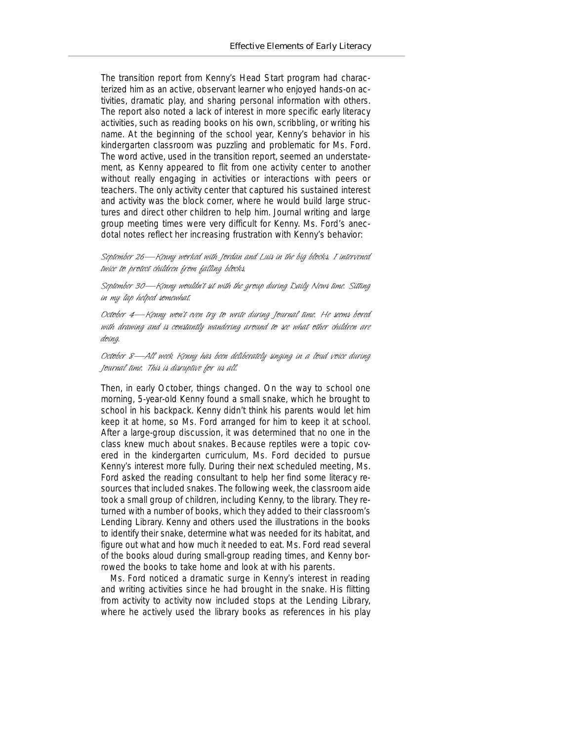The transition report from Kenny's Head Start program had characterized him as an active, observant learner who enjoyed hands-on activities, dramatic play, and sharing personal information with others. The report also noted a lack of interest in more specific early literacy activities, such as reading books on his own, scribbling, or writing his name. At the beginning of the school year, Kenny's behavior in his kindergarten classroom was puzzling and problematic for Ms. Ford. The word *active,* used in the transition report, seemed an understatement, as Kenny appeared to flit from one activity center to another without really engaging in activities or interactions with peers or teachers. The only activity center that captured his sustained interest and activity was the block corner, where he would build large structures and direct other children to help him. Journal writing and large group meeting times were very difficult for Kenny. Ms. Ford's anecdotal notes reflect her increasing frustration with Kenny's behavior:

*September 26—Kenny worked with Jordan and Luis in the big blocks. I intervened twice to protect children from falling blocks.*

*September 30—Kenny wouldn't sit with the group during Daily News time. Sitting in my lap helped somewhat.*

*October 4—Kenny won't even try to write during Journal time. He seems bored with drawing and is constantly wandering around to see what other children are doing.*

*October 8—All week Kenny has been deliberately singing in a loud voice during Journal time. This is disruptive for us all.*

Then, in early October, things changed. On the way to school one morning, 5-year-old Kenny found a small snake, which he brought to school in his backpack. Kenny didn't think his parents would let him keep it at home, so Ms. Ford arranged for him to keep it at school. After a large-group discussion, it was determined that no one in the class knew much about snakes. Because reptiles were a topic covered in the kindergarten curriculum, Ms. Ford decided to pursue Kenny's interest more fully. During their next scheduled meeting, Ms. Ford asked the reading consultant to help her find some literacy resources that included snakes. The following week, the classroom aide took a small group of children, including Kenny, to the library. They returned with a number of books, which they added to their classroom's Lending Library. Kenny and others used the illustrations in the books to identify their snake, determine what was needed for its habitat, and figure out what and how much it needed to eat. Ms. Ford read several of the books aloud during small-group reading times, and Kenny borrowed the books to take home and look at with his parents.

Ms. Ford noticed a dramatic surge in Kenny's interest in reading and writing activities since he had brought in the snake. His flitting from activity to activity now included stops at the Lending Library, where he actively used the library books as references in his play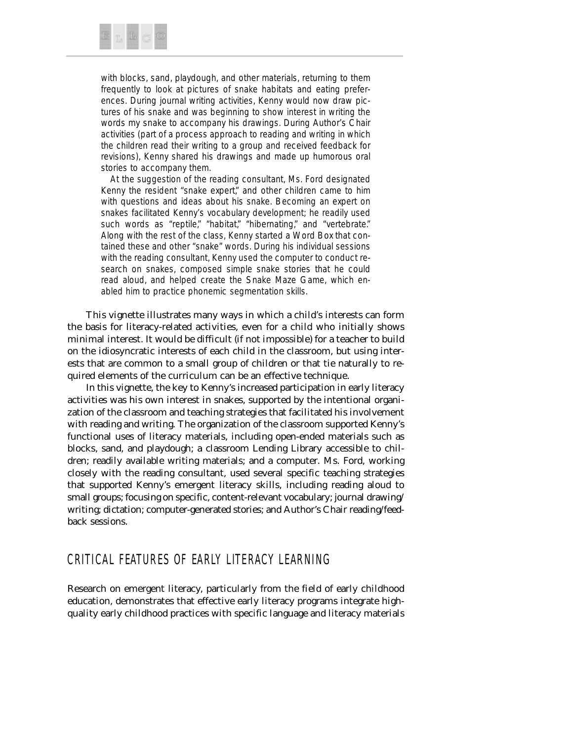

with blocks, sand, playdough, and other materials, returning to them frequently to look at pictures of snake habitats and eating preferences. During journal writing activities, Kenny would now draw pictures of his snake and was beginning to show interest in writing the words *my snake* to accompany his drawings. During Author's Chair activities (part of a process approach to reading and writing in which the children read their writing to a group and received feedback for revisions), Kenny shared his drawings and made up humorous oral stories to accompany them.

At the suggestion of the reading consultant, Ms. Ford designated Kenny the resident "snake expert," and other children came to him with questions and ideas about his snake. Becoming an expert on snakes facilitated Kenny's vocabulary development; he readily used such words as "reptile," "habitat," "hibernating," and "vertebrate." Along with the rest of the class, Kenny started a Word Box that contained these and other "snake" words. During his individual sessions with the reading consultant, Kenny used the computer to conduct research on snakes, composed simple snake stories that he could read aloud, and helped create the Snake Maze Game, which enabled him to practice phonemic segmentation skills.

This vignette illustrates many ways in which a child's interests can form the basis for literacy-related activities, even for a child who initially shows minimal interest. It would be difficult (if not impossible) for a teacher to build on the idiosyncratic interests of each child in the classroom, but using interests that are common to a small group of children or that tie naturally to required elements of the curriculum can be an effective technique.

In this vignette, the key to Kenny's increased participation in early literacy activities was his own interest in snakes, supported by the intentional organization of the classroom and teaching strategies that facilitated his involvement with reading and writing. The organization of the classroom supported Kenny's functional uses of literacy materials, including open-ended materials such as blocks, sand, and playdough; a classroom Lending Library accessible to children; readily available writing materials; and a computer. Ms. Ford, working closely with the reading consultant, used several specific teaching strategies that supported Kenny's emergent literacy skills, including reading aloud to small groups; focusing on specific, content-relevant vocabulary; journal drawing/ writing; dictation; computer-generated stories; and Author's Chair reading/feedback sessions.

#### CRITICAL FEATURES OF EARLY LITERACY LEARNING

Research on emergent literacy, particularly from the field of early childhood education, demonstrates that effective early literacy programs integrate highquality early childhood practices with specific language and literacy materials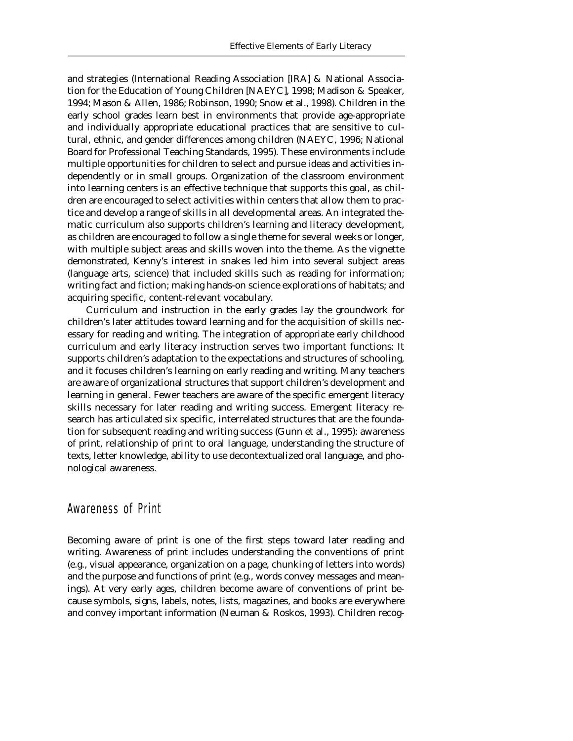and strategies (International Reading Association [IRA] & National Association for the Education of Young Children [NAEYC], 1998; Madison & Speaker, 1994; Mason & Allen, 1986; Robinson, 1990; Snow et al., 1998). Children in the early school grades learn best in environments that provide age-appropriate and individually appropriate educational practices that are sensitive to cultural, ethnic, and gender differences among children (NAEYC, 1996; National Board for Professional Teaching Standards, 1995). These environments include multiple opportunities for children to select and pursue ideas and activities independently or in small groups. Organization of the classroom environment into learning centers is an effective technique that supports this goal, as children are encouraged to select activities within centers that allow them to practice and develop a range of skills in all developmental areas. An integrated thematic curriculum also supports children's learning and literacy development, as children are encouraged to follow a single theme for several weeks or longer, with multiple subject areas and skills woven into the theme. As the vignette demonstrated, Kenny's interest in snakes led him into several subject areas (language arts, science) that included skills such as reading for information; writing fact and fiction; making hands-on science explorations of habitats; and acquiring specific, content-relevant vocabulary.

Curriculum and instruction in the early grades lay the groundwork for children's later attitudes toward learning and for the acquisition of skills necessary for reading and writing. The integration of appropriate early childhood curriculum and early literacy instruction serves two important functions: It supports children's adaptation to the expectations and structures of schooling, and it focuses children's learning on early reading and writing. Many teachers are aware of organizational structures that support children's development and learning in general. Fewer teachers are aware of the specific emergent literacy skills necessary for later reading and writing success. Emergent literacy research has articulated six specific, interrelated structures that are the foundation for subsequent reading and writing success (Gunn et al., 1995): awareness of print, relationship of print to oral language, understanding the structure of texts, letter knowledge, ability to use decontextualized oral language, and phonological awareness.

#### Awareness of Print

Becoming aware of print is one of the first steps toward later reading and writing. Awareness of print includes understanding the conventions of print (e.g., visual appearance, organization on a page, chunking of letters into words) and the purpose and functions of print (e.g., words convey messages and meanings). At very early ages, children become aware of conventions of print because symbols, signs, labels, notes, lists, magazines, and books are everywhere and convey important information (Neuman & Roskos, 1993). Children recog-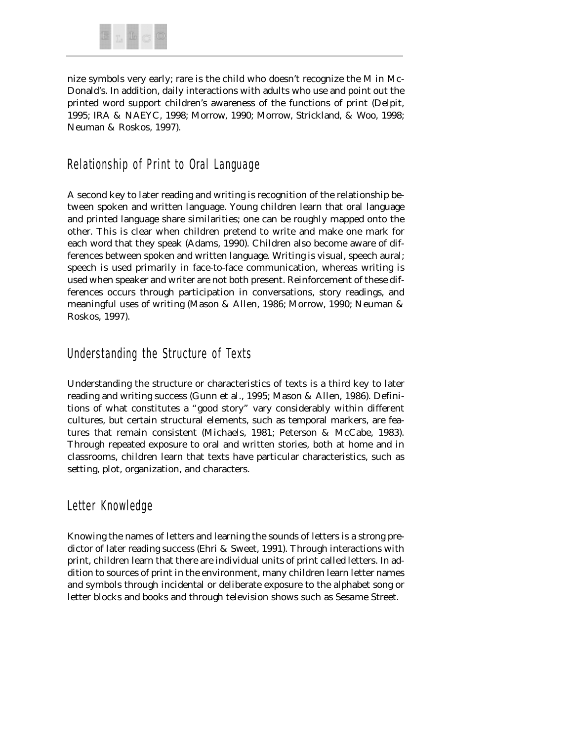

nize symbols very early; rare is the child who doesn't recognize the *M* in Mc-Donald's. In addition, daily interactions with adults who use and point out the printed word support children's awareness of the functions of print (Delpit, 1995; IRA & NAEYC, 1998; Morrow, 1990; Morrow, Strickland, & Woo, 1998; Neuman & Roskos, 1997).

# Relationship of Print to Oral Language

A second key to later reading and writing is recognition of the relationship between spoken and written language. Young children learn that oral language and printed language share similarities; one can be roughly mapped onto the other. This is clear when children pretend to write and make one mark for each word that they speak (Adams, 1990). Children also become aware of differences between spoken and written language. Writing is visual, speech aural; speech is used primarily in face-to-face communication, whereas writing is used when speaker and writer are not both present. Reinforcement of these differences occurs through participation in conversations, story readings, and meaningful uses of writing (Mason & Allen, 1986; Morrow, 1990; Neuman & Roskos, 1997).

# Understanding the Structure of Texts

Understanding the structure or characteristics of texts is a third key to later reading and writing success (Gunn et al., 1995; Mason & Allen, 1986). Definitions of what constitutes a "good story" vary considerably within different cultures, but certain structural elements, such as temporal markers, are features that remain consistent (Michaels, 1981; Peterson & McCabe, 1983). Through repeated exposure to oral and written stories, both at home and in classrooms, children learn that texts have particular characteristics, such as setting, plot, organization, and characters.

#### Letter Knowledge

Knowing the names of letters and learning the sounds of letters is a strong predictor of later reading success (Ehri & Sweet, 1991). Through interactions with print, children learn that there are individual units of print called *letters.* In addition to sources of print in the environment, many children learn letter names and symbols through incidental or deliberate exposure to the alphabet song or letter blocks and books and through television shows such as *Sesame Street.*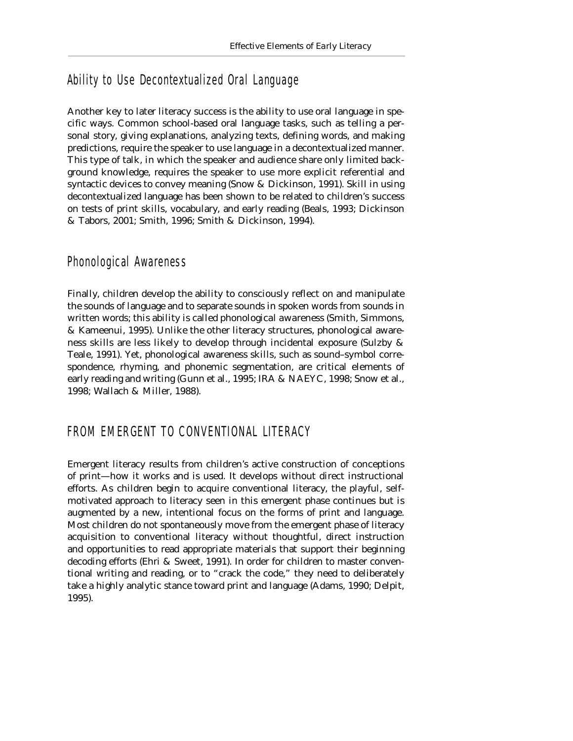# Ability to Use Decontextualized Oral Language

Another key to later literacy success is the ability to use oral language in specific ways. Common school-based oral language tasks, such as telling a personal story, giving explanations, analyzing texts, defining words, and making predictions, require the speaker to use language in a decontextualized manner. This type of talk, in which the speaker and audience share only limited background knowledge, requires the speaker to use more explicit referential and syntactic devices to convey meaning (Snow & Dickinson, 1991). Skill in using decontextualized language has been shown to be related to children's success on tests of print skills, vocabulary, and early reading (Beals, 1993; Dickinson & Tabors, 2001; Smith, 1996; Smith & Dickinson, 1994).

#### Phonological Awareness

Finally, children develop the ability to consciously reflect on and manipulate the sounds of language and to separate sounds in spoken words from sounds in written words; this ability is called *phonological awareness* (Smith, Simmons, & Kameenui, 1995). Unlike the other literacy structures, phonological awareness skills are less likely to develop through incidental exposure (Sulzby & Teale, 1991). Yet, phonological awareness skills, such as sound–symbol correspondence, rhyming, and phonemic segmentation, are critical elements of early reading and writing (Gunn et al., 1995; IRA & NAEYC, 1998; Snow et al., 1998; Wallach & Miller, 1988).

# FROM EMERGENT TO CONVENTIONAL LITERACY

Emergent literacy results from children's active construction of conceptions of print—how it works and is used. It develops without direct instructional efforts. As children begin to acquire conventional literacy, the playful, selfmotivated approach to literacy seen in this emergent phase continues but is augmented by a new, intentional focus on the forms of print and language. Most children do not spontaneously move from the emergent phase of literacy acquisition to conventional literacy without thoughtful, direct instruction and opportunities to read appropriate materials that support their beginning decoding efforts (Ehri & Sweet, 1991). In order for children to master conventional writing and reading, or to "crack the code," they need to deliberately take a highly analytic stance toward print and language (Adams, 1990; Delpit, 1995).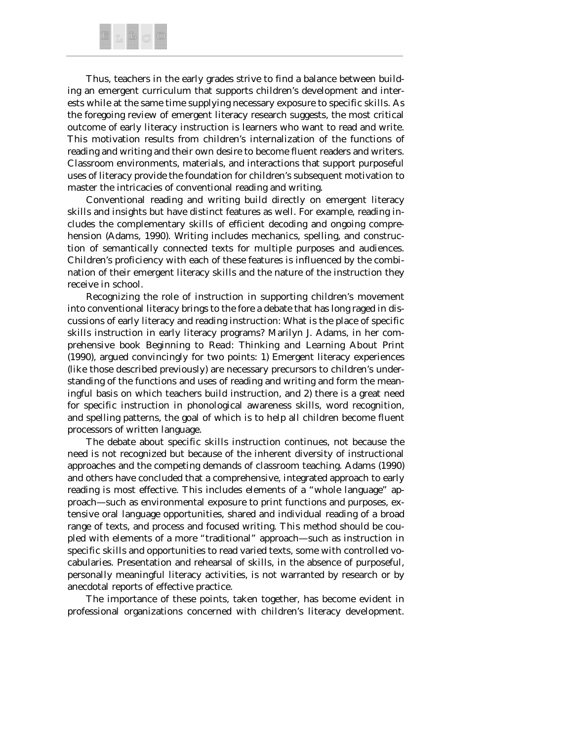

Thus, teachers in the early grades strive to find a balance between building an emergent curriculum that supports children's development and interests while at the same time supplying necessary exposure to specific skills. As the foregoing review of emergent literacy research suggests, the most critical outcome of early literacy instruction is learners who want to read and write. This motivation results from children's internalization of the functions of reading and writing and their own desire to become fluent readers and writers. Classroom environments, materials, and interactions that support purposeful uses of literacy provide the foundation for children's subsequent motivation to master the intricacies of conventional reading and writing.

Conventional reading and writing build directly on emergent literacy skills and insights but have distinct features as well. For example, reading includes the complementary skills of efficient decoding and ongoing comprehension (Adams, 1990). Writing includes mechanics, spelling, and construction of semantically connected texts for multiple purposes and audiences. Children's proficiency with each of these features is influenced by the combination of their emergent literacy skills and the nature of the instruction they receive in school.

Recognizing the role of instruction in supporting children's movement into conventional literacy brings to the fore a debate that has long raged in discussions of early literacy and reading instruction: What is the place of specific skills instruction in early literacy programs? Marilyn J. Adams, in her comprehensive book *Beginning to Read: Thinking and Learning About Print* (1990), argued convincingly for two points: 1) Emergent literacy experiences (like those described previously) are necessary precursors to children's understanding of the functions and uses of reading and writing and form the meaningful basis on which teachers build instruction, and 2) there is a great need for specific instruction in phonological awareness skills, word recognition, and spelling patterns, the goal of which is to help all children become fluent processors of written language.

The debate about specific skills instruction continues, not because the need is not recognized but because of the inherent diversity of instructional approaches and the competing demands of classroom teaching. Adams (1990) and others have concluded that a comprehensive, integrated approach to early reading is most effective. This includes elements of a "whole language" approach—such as environmental exposure to print functions and purposes, extensive oral language opportunities, shared and individual reading of a broad range of texts, and process and focused writing. This method should be coupled with elements of a more "traditional" approach—such as instruction in specific skills and opportunities to read varied texts, some with controlled vocabularies. Presentation and rehearsal of skills, in the absence of purposeful, personally meaningful literacy activities, is not warranted by research or by anecdotal reports of effective practice.

The importance of these points, taken together, has become evident in professional organizations concerned with children's literacy development.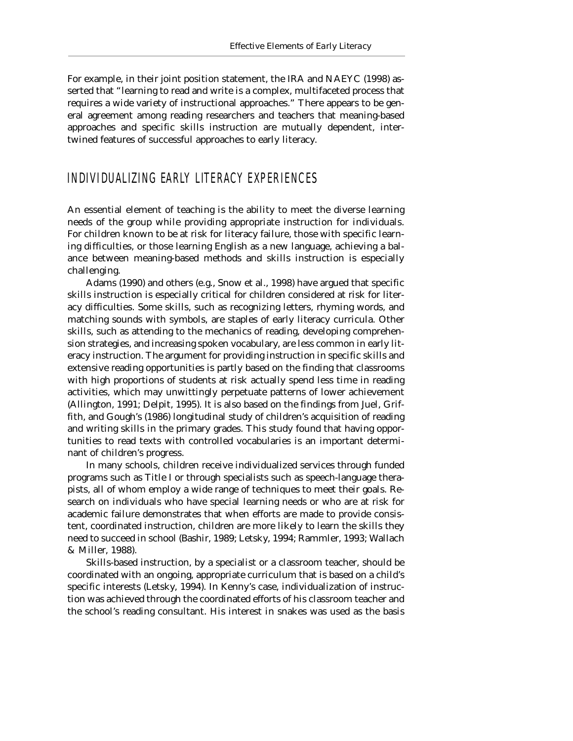For example, in their joint position statement, the IRA and NAEYC (1998) asserted that "learning to read and write is a complex, multifaceted process that requires a wide variety of instructional approaches." There appears to be general agreement among reading researchers and teachers that meaning-based approaches and specific skills instruction are mutually dependent, intertwined features of successful approaches to early literacy.

#### INDIVIDUALIZING EARLY LITERACY EXPERIENCES

An essential element of teaching is the ability to meet the diverse learning needs of the group while providing appropriate instruction for individuals. For children known to be at risk for literacy failure, those with specific learning difficulties, or those learning English as a new language, achieving a balance between meaning-based methods and skills instruction is especially challenging.

Adams (1990) and others (e.g., Snow et al., 1998) have argued that specific skills instruction is especially critical for children considered at risk for literacy difficulties. Some skills, such as recognizing letters, rhyming words, and matching sounds with symbols, are staples of early literacy curricula. Other skills, such as attending to the mechanics of reading, developing comprehension strategies, and increasing spoken vocabulary, are less common in early literacy instruction. The argument for providing instruction in specific skills and extensive reading opportunities is partly based on the finding that classrooms with high proportions of students at risk actually spend less time in reading activities, which may unwittingly perpetuate patterns of lower achievement (Allington, 1991; Delpit, 1995). It is also based on the findings from Juel, Griffith, and Gough's (1986) longitudinal study of children's acquisition of reading and writing skills in the primary grades. This study found that having opportunities to read texts with controlled vocabularies is an important determinant of children's progress.

In many schools, children receive individualized services through funded programs such as Title I or through specialists such as speech-language therapists, all of whom employ a wide range of techniques to meet their goals. Research on individuals who have special learning needs or who are at risk for academic failure demonstrates that when efforts are made to provide consistent, coordinated instruction, children are more likely to learn the skills they need to succeed in school (Bashir, 1989; Letsky, 1994; Rammler, 1993; Wallach & Miller, 1988).

Skills-based instruction, by a specialist or a classroom teacher, should be coordinated with an ongoing, appropriate curriculum that is based on a child's specific interests (Letsky, 1994). In Kenny's case, individualization of instruction was achieved through the coordinated efforts of his classroom teacher and the school's reading consultant. His interest in snakes was used as the basis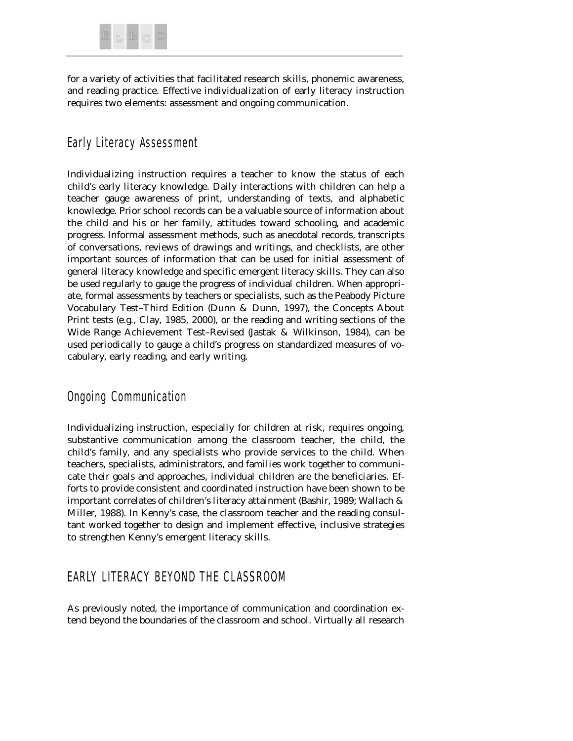

for a variety of activities that facilitated research skills, phonemic awareness, and reading practice. Effective individualization of early literacy instruction requires two elements: assessment and ongoing communication.

# Early Literacy Assessment

Individualizing instruction requires a teacher to know the status of each child's early literacy knowledge. Daily interactions with children can help a teacher gauge awareness of print, understanding of texts, and alphabetic knowledge. Prior school records can be a valuable source of information about the child and his or her family, attitudes toward schooling, and academic progress. Informal assessment methods, such as anecdotal records, transcripts of conversations, reviews of drawings and writings, and checklists, are other important sources of information that can be used for initial assessment of general literacy knowledge and specific emergent literacy skills. They can also be used regularly to gauge the progress of individual children. When appropriate, formal assessments by teachers or specialists, such as the Peabody Picture Vocabulary Test–Third Edition (Dunn & Dunn, 1997), the Concepts About Print tests (e.g., Clay, 1985, 2000), or the reading and writing sections of the Wide Range Achievement Test–Revised (Jastak & Wilkinson, 1984), can be used periodically to gauge a child's progress on standardized measures of vocabulary, early reading, and early writing.

# Ongoing Communication

Individualizing instruction, especially for children at risk, requires ongoing, substantive communication among the classroom teacher, the child, the child's family, and any specialists who provide services to the child. When teachers, specialists, administrators, and families work together to communicate their goals and approaches, individual children are the beneficiaries. Efforts to provide consistent and coordinated instruction have been shown to be important correlates of children's literacy attainment (Bashir, 1989; Wallach & Miller, 1988). In Kenny's case, the classroom teacher and the reading consultant worked together to design and implement effective, inclusive strategies to strengthen Kenny's emergent literacy skills.

# EARLY LITERACY BEYOND THE CLASSROOM

As previously noted, the importance of communication and coordination extend beyond the boundaries of the classroom and school. Virtually all research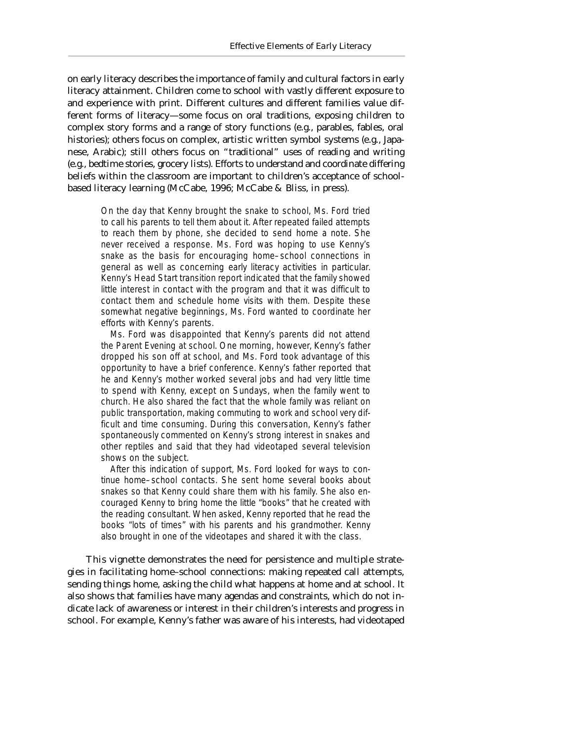on early literacy describes the importance of family and cultural factors in early literacy attainment. Children come to school with vastly different exposure to and experience with print. Different cultures and different families value different forms of literacy—some focus on oral traditions, exposing children to complex story forms and a range of story functions (e.g., parables, fables, oral histories); others focus on complex, artistic written symbol systems (e.g., Japanese, Arabic); still others focus on "traditional" uses of reading and writing (e.g., bedtime stories, grocery lists). Efforts to understand and coordinate differing beliefs within the classroom are important to children's acceptance of schoolbased literacy learning (McCabe, 1996; McCabe & Bliss, in press).

On the day that Kenny brought the snake to school, Ms. Ford tried to call his parents to tell them about it. After repeated failed attempts to reach them by phone, she decided to send home a note. She never received a response. Ms. Ford was hoping to use Kenny's snake as the basis for encouraging home–school connections in general as well as concerning early literacy activities in particular. Kenny's Head Start transition report indicated that the family showed little interest in contact with the program and that it was difficult to contact them and schedule home visits with them. Despite these somewhat negative beginnings, Ms. Ford wanted to coordinate her efforts with Kenny's parents.

Ms. Ford was disappointed that Kenny's parents did not attend the Parent Evening at school. One morning, however, Kenny's father dropped his son off at school, and Ms. Ford took advantage of this opportunity to have a brief conference. Kenny's father reported that he and Kenny's mother worked several jobs and had very little time to spend with Kenny, except on Sundays, when the family went to church. He also shared the fact that the whole family was reliant on public transportation, making commuting to work and school very difficult and time consuming. During this conversation, Kenny's father spontaneously commented on Kenny's strong interest in snakes and other reptiles and said that they had videotaped several television shows on the subject.

After this indication of support, Ms. Ford looked for ways to continue home–school contacts. She sent home several books about snakes so that Kenny could share them with his family. She also encouraged Kenny to bring home the little "books" that he created with the reading consultant. When asked, Kenny reported that he read the books "lots of times" with his parents and his grandmother. Kenny also brought in one of the videotapes and shared it with the class.

This vignette demonstrates the need for persistence and multiple strategies in facilitating home–school connections: making repeated call attempts, sending things home, asking the child what happens at home and at school. It also shows that families have many agendas and constraints, which do not indicate lack of awareness or interest in their children's interests and progress in school. For example, Kenny's father was aware of his interests, had videotaped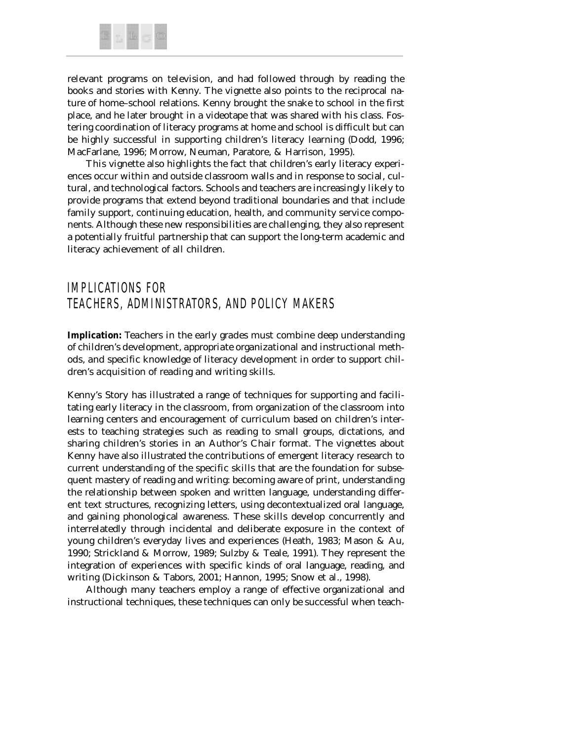

relevant programs on television, and had followed through by reading the books and stories with Kenny. The vignette also points to the reciprocal nature of home–school relations. Kenny brought the snake to school in the first place, and he later brought in a videotape that was shared with his class. Fostering coordination of literacy programs at home and school is difficult but can be highly successful in supporting children's literacy learning (Dodd, 1996; MacFarlane, 1996; Morrow, Neuman, Paratore, & Harrison, 1995).

This vignette also highlights the fact that children's early literacy experiences occur within and outside classroom walls and in response to social, cultural, and technological factors. Schools and teachers are increasingly likely to provide programs that extend beyond traditional boundaries and that include family support, continuing education, health, and community service components. Although these new responsibilities are challenging, they also represent a potentially fruitful partnership that can support the long-term academic and literacy achievement of all children.

# IMPLICATIONS FOR TEACHERS, ADMINISTRATORS, AND POLICY MAKERS

*Implication: Teachers in the early grades must combine deep understanding of children's development, appropriate organizational and instructional methods, and specific knowledge of literacy development in order to support children's acquisition of reading and writing skills.*

Kenny's Story has illustrated a range of techniques for supporting and facilitating early literacy in the classroom, from organization of the classroom into learning centers and encouragement of curriculum based on children's interests to teaching strategies such as reading to small groups, dictations, and sharing children's stories in an Author's Chair format. The vignettes about Kenny have also illustrated the contributions of emergent literacy research to current understanding of the specific skills that are the foundation for subsequent mastery of reading and writing: becoming aware of print, understanding the relationship between spoken and written language, understanding different text structures, recognizing letters, using decontextualized oral language, and gaining phonological awareness. These skills develop concurrently and interrelatedly through incidental and deliberate exposure in the context of young children's everyday lives and experiences (Heath, 1983; Mason & Au, 1990; Strickland & Morrow, 1989; Sulzby & Teale, 1991). They represent the integration of experiences with specific kinds of oral language, reading, and writing (Dickinson & Tabors, 2001; Hannon, 1995; Snow et al., 1998).

Although many teachers employ a range of effective organizational and instructional techniques, these techniques can only be successful when teach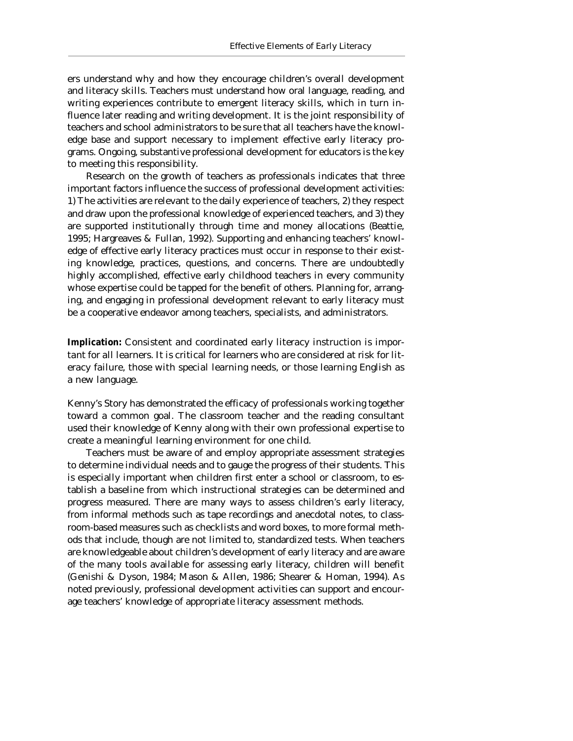ers understand why and how they encourage children's overall development and literacy skills. Teachers must understand how oral language, reading, and writing experiences contribute to emergent literacy skills, which in turn influence later reading and writing development. It is the joint responsibility of teachers and school administrators to be sure that all teachers have the knowledge base and support necessary to implement effective early literacy programs. Ongoing, substantive professional development for educators is the key to meeting this responsibility.

Research on the growth of teachers as professionals indicates that three important factors influence the success of professional development activities: 1) The activities are relevant to the daily experience of teachers, 2) they respect and draw upon the professional knowledge of experienced teachers, and 3) they are supported institutionally through time and money allocations (Beattie, 1995; Hargreaves & Fullan, 1992). Supporting and enhancing teachers' knowledge of effective early literacy practices must occur in response to their existing knowledge, practices, questions, and concerns. There are undoubtedly highly accomplished, effective early childhood teachers in every community whose expertise could be tapped for the benefit of others. Planning for, arranging, and engaging in professional development relevant to early literacy must be a cooperative endeavor among teachers, specialists, and administrators.

*Implication: Consistent and coordinated early literacy instruction is important for all learners. It is critical for learners who are considered at risk for literacy failure, those with special learning needs, or those learning English as a new language.*

Kenny's Story has demonstrated the efficacy of professionals working together toward a common goal. The classroom teacher and the reading consultant used their knowledge of Kenny along with their own professional expertise to create a meaningful learning environment for one child.

Teachers must be aware of and employ appropriate assessment strategies to determine individual needs and to gauge the progress of their students. This is especially important when children first enter a school or classroom, to establish a baseline from which instructional strategies can be determined and progress measured. There are many ways to assess children's early literacy, from informal methods such as tape recordings and anecdotal notes, to classroom-based measures such as checklists and word boxes, to more formal methods that include, though are not limited to, standardized tests. When teachers are knowledgeable about children's development of early literacy and are aware of the many tools available for assessing early literacy, children will benefit (Genishi & Dyson, 1984; Mason & Allen, 1986; Shearer & Homan, 1994). As noted previously, professional development activities can support and encourage teachers' knowledge of appropriate literacy assessment methods.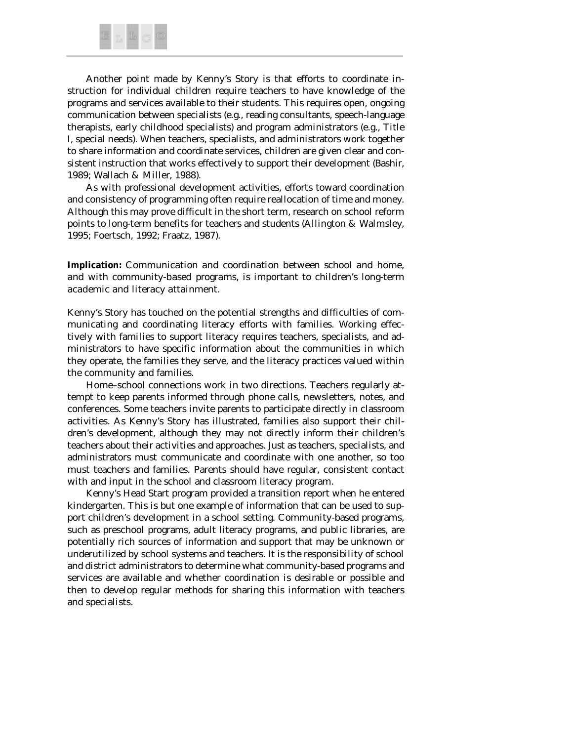

Another point made by Kenny's Story is that efforts to coordinate instruction for individual children require teachers to have knowledge of the programs and services available to their students. This requires open, ongoing communication between specialists (e.g., reading consultants, speech-language therapists, early childhood specialists) and program administrators (e.g., Title I, special needs). When teachers, specialists, and administrators work together to share information and coordinate services, children are given clear and consistent instruction that works effectively to support their development (Bashir, 1989; Wallach & Miller, 1988).

As with professional development activities, efforts toward coordination and consistency of programming often require reallocation of time and money. Although this may prove difficult in the short term, research on school reform points to long-term benefits for teachers and students (Allington & Walmsley, 1995; Foertsch, 1992; Fraatz, 1987).

*Implication: Communication and coordination between school and home, and with community-based programs, is important to children's long-term academic and literacy attainment.*

Kenny's Story has touched on the potential strengths and difficulties of communicating and coordinating literacy efforts with families. Working effectively with families to support literacy requires teachers, specialists, and administrators to have specific information about the communities in which they operate, the families they serve, and the literacy practices valued within the community and families.

Home–school connections work in two directions. Teachers regularly attempt to keep parents informed through phone calls, newsletters, notes, and conferences. Some teachers invite parents to participate directly in classroom activities. As Kenny's Story has illustrated, families also support their children's development, although they may not directly inform their children's teachers about their activities and approaches. Just as teachers, specialists, and administrators must communicate and coordinate with one another, so too must teachers and families. Parents should have regular, consistent contact with and input in the school and classroom literacy program.

Kenny's Head Start program provided a transition report when he entered kindergarten. This is but one example of information that can be used to support children's development in a school setting. Community-based programs, such as preschool programs, adult literacy programs, and public libraries, are potentially rich sources of information and support that may be unknown or underutilized by school systems and teachers. It is the responsibility of school and district administrators to determine what community-based programs and services are available and whether coordination is desirable or possible and then to develop regular methods for sharing this information with teachers and specialists.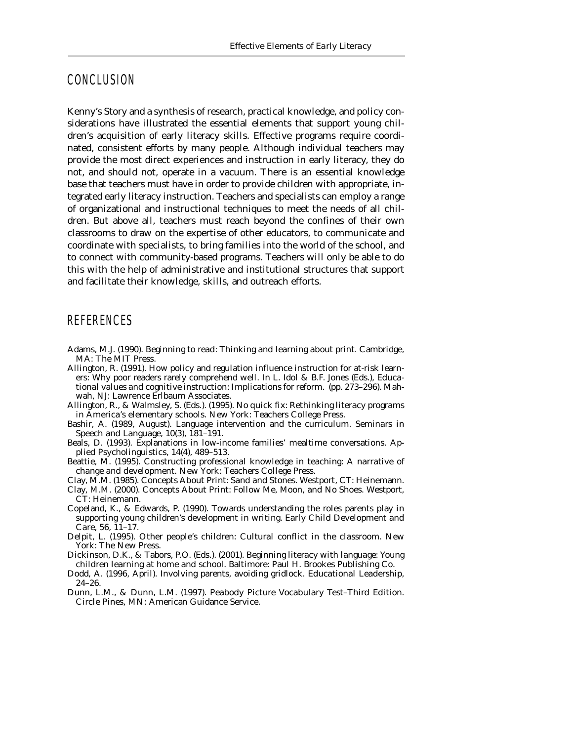#### CONCLUSION

Kenny's Story and a synthesis of research, practical knowledge, and policy considerations have illustrated the essential elements that support young children's acquisition of early literacy skills. Effective programs require coordinated, consistent efforts by many people. Although individual teachers may provide the most direct experiences and instruction in early literacy, they do not, and should not, operate in a vacuum. There is an essential knowledge base that teachers must have in order to provide children with appropriate, integrated early literacy instruction. Teachers and specialists can employ a range of organizational and instructional techniques to meet the needs of all children. But above all, teachers must reach beyond the confines of their own classrooms to draw on the expertise of other educators, to communicate and coordinate with specialists, to bring families into the world of the school, and to connect with community-based programs. Teachers will only be able to do this with the help of administrative and institutional structures that support and facilitate their knowledge, skills, and outreach efforts.

#### **REFERENCES**

- Adams, M.J. (1990). *Beginning to read: Thinking and learning about print.* Cambridge, MA: The MIT Press.
- Allington, R. (1991). How policy and regulation influence instruction for at-risk learners: Why poor readers rarely comprehend well. In L. Idol & B.F. Jones (Eds.), *Educational values and cognitive instruction: Implications for reform.* (pp. 273–296). Mahwah, NJ: Lawrence Erlbaum Associates.
- Allington, R., & Walmsley, S. (Eds.). (1995). *No quick fix: Rethinking literacy programs in America's elementary schools.* New York: Teachers College Press.
- Bashir, A. (1989, August). Language intervention and the curriculum. *Seminars in Speech and Language, 10*(3), 181–191.
- Beals, D. (1993). Explanations in low-income families' mealtime conversations. *Applied Psycholinguistics, 14*(4), 489–513.
- Beattie, M. (1995). *Constructing professional knowledge in teaching: A narrative of change and development.* New York: Teachers College Press.
- Clay, M.M. (1985). *Concepts About Print: Sand and Stones.* Westport, CT: Heinemann.
- Clay, M.M. (2000). *Concepts About Print: Follow Me, Moon, and No Shoes.* Westport, CT: Heinemann.
- Copeland, K., & Edwards, P. (1990). Towards understanding the roles parents play in supporting young children's development in writing. *Early Child Development and Care, 56,* 11–17.
- Delpit, L. (1995). *Other people's children: Cultural conflict in the classroom.* New York: The New Press.
- Dickinson, D.K., & Tabors, P.O. (Eds.). (2001). *Beginning literacy with language: Young children learning at home and school.* Baltimore: Paul H. Brookes Publishing Co.
- Dodd, A. (1996, April). Involving parents, avoiding gridlock. *Educational Leadership,* 24–26.
- Dunn, L.M., & Dunn, L.M. (1997). *Peabody Picture Vocabulary Test–Third Edition.* Circle Pines, MN: American Guidance Service.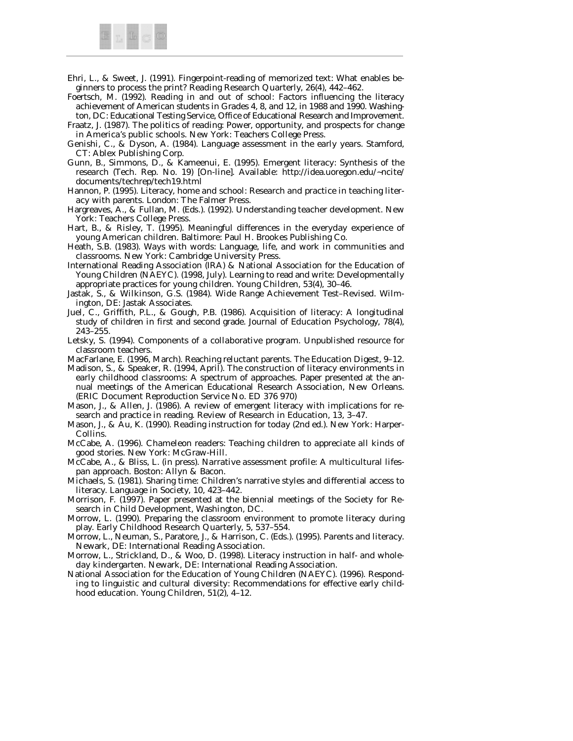

- Ehri, L., & Sweet, J. (1991). Fingerpoint-reading of memorized text: What enables beginners to process the print? *Reading Research Quarterly, 26*(4), 442–462.
- Foertsch, M. (1992). *Reading in and out of school: Factors influencing the literacy achievement of American students in Grades 4, 8, and 12, in 1988 and 1990.* Washington, DC: Educational Testing Service, Office of Educational Research and Improvement.
- Fraatz, J. (1987). *The politics of reading: Power, opportunity, and prospects for change in America's public schools.* New York: Teachers College Press.
- Genishi, C., & Dyson, A. (1984). *Language assessment in the early years.* Stamford, CT: Ablex Publishing Corp.
- Gunn, B., Simmons, D., & Kameenui, E. (1995). *Emergent literacy: Synthesis of the research* (Tech. Rep. No. 19) [On-line]. Available: http://idea.uoregon.edu/~ncite/ documents/techrep/tech19.html
- Hannon, P. (1995). *Literacy, home and school: Research and practice in teaching literacy with parents.* London: The Falmer Press.
- Hargreaves, A., & Fullan, M. (Eds.). (1992). *Understanding teacher development.* New York: Teachers College Press.
- Hart, B., & Risley, T. (1995). *Meaningful differences in the everyday experience of young American children.* Baltimore: Paul H. Brookes Publishing Co.
- Heath, S.B. (1983). *Ways with words: Language, life, and work in communities and classrooms.* New York: Cambridge University Press.
- International Reading Association (IRA) & National Association for the Education of Young Children (NAEYC). (1998, July). Learning to read and write: Developmentally appropriate practices for young children. *Young Children, 53*(4), 30–46.
- Jastak, S., & Wilkinson, G.S. (1984). *Wide Range Achievement Test–Revised.* Wilmington, DE: Jastak Associates.
- Juel, C., Griffith, P.L., & Gough, P.B. (1986). Acquisition of literacy: A longitudinal study of children in first and second grade. *Journal of Education Psychology, 78*(4), 243–255.
- Letsky, S. (1994). *Components of a collaborative program.* Unpublished resource for classroom teachers.
- MacFarlane, E. (1996, March). Reaching reluctant parents. *The Education Digest,* 9–12. Madison, S., & Speaker, R. (1994, April). *The construction of literacy environments in*
- *early childhood classrooms: A spectrum of approaches.* Paper presented at the annual meetings of the American Educational Research Association, New Orleans. (ERIC Document Reproduction Service No. ED 376 970)
- Mason, J., & Allen, J. (1986). A review of emergent literacy with implications for research and practice in reading. *Review of Research in Education, 13,* 3–47.
- Mason, J., & Au, K. (1990). *Reading instruction for today* (2nd ed.). New York: Harper-Collins.
- McCabe, A. (1996). *Chameleon readers: Teaching children to appreciate all kinds of good stories.* New York: McGraw-Hill.
- McCabe, A., & Bliss, L. (in press). *Narrative assessment profile: A multicultural lifespan approach.* Boston: Allyn & Bacon.
- Michaels, S. (1981). Sharing time: Children's narrative styles and differential access to literacy. *Language in Society, 10,* 423–442.
- Morrison, F. (1997). Paper presented at the biennial meetings of the Society for Research in Child Development, Washington, DC.
- Morrow, L. (1990). Preparing the classroom environment to promote literacy during play. *Early Childhood Research Quarterly, 5,* 537–554.
- Morrow, L., Neuman, S., Paratore, J., & Harrison, C. (Eds.). (1995). *Parents and literacy.* Newark, DE: International Reading Association.
- Morrow, L., Strickland, D., & Woo, D. (1998). *Literacy instruction in half- and wholeday kindergarten.* Newark, DE: International Reading Association.
- National Association for the Education of Young Children (NAEYC). (1996). Responding to linguistic and cultural diversity: Recommendations for effective early childhood education. *Young Children, 51*(2), 4–12.